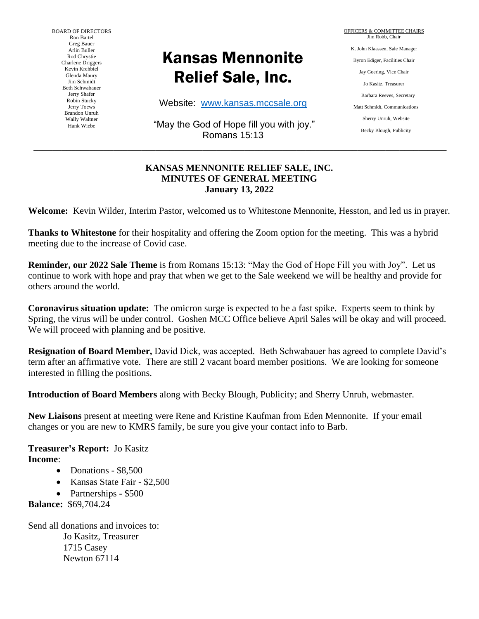BOARD OF DIRECTORS Ron Bartel Greg Bauer Arlin Buller Rod Chrystie Charlene Driggers Kevin Krehbiel Glenda Maury Jim Schmidt Beth Schwabauer Jerry Shafer Robin Stucky Jerry Toews Brandon Unruh Wally Waltner Hank Wiebe

# Kansas Mennonite Relief Sale, Inc.

Website: [www.kansas.mccsale.org](http://www.kansas.mccsale.org/)

"May the God of Hope fill you with joy." Romans 15:13

\_\_\_\_\_\_\_\_\_\_\_\_\_\_\_\_\_\_\_\_\_\_\_\_\_\_\_\_\_\_\_\_\_\_\_\_\_\_\_\_\_\_\_\_\_\_\_\_\_\_\_\_\_\_\_\_\_\_\_\_\_\_\_\_\_\_\_\_\_\_\_\_\_\_\_\_\_\_\_\_\_\_\_\_\_\_\_\_

#### **KANSAS MENNONITE RELIEF SALE, INC. MINUTES OF GENERAL MEETING January 13, 2022**

**Welcome:** Kevin Wilder, Interim Pastor, welcomed us to Whitestone Mennonite, Hesston, and led us in prayer.

**Thanks to Whitestone** for their hospitality and offering the Zoom option for the meeting. This was a hybrid meeting due to the increase of Covid case.

**Reminder, our 2022 Sale Theme** is from Romans 15:13: "May the God of Hope Fill you with Joy". Let us continue to work with hope and pray that when we get to the Sale weekend we will be healthy and provide for others around the world.

**Coronavirus situation update:** The omicron surge is expected to be a fast spike. Experts seem to think by Spring, the virus will be under control. Goshen MCC Office believe April Sales will be okay and will proceed. We will proceed with planning and be positive.

**Resignation of Board Member,** David Dick, was accepted. Beth Schwabauer has agreed to complete David's term after an affirmative vote. There are still 2 vacant board member positions. We are looking for someone interested in filling the positions.

**Introduction of Board Members** along with Becky Blough, Publicity; and Sherry Unruh, webmaster.

**New Liaisons** present at meeting were Rene and Kristine Kaufman from Eden Mennonite. If your email changes or you are new to KMRS family, be sure you give your contact info to Barb.

**Treasurer's Report:** Jo Kasitz **Income**:

- Donations \$8,500
- Kansas State Fair \$2,500
- Partnerships \$500

**Balance:** \$69,704.24

Send all donations and invoices to: Jo Kasitz, Treasurer 1715 Casey Newton 67114

OFFICERS & COMMITTEE CHAIRS Jim Robb, Chair K. John Klaassen, Sale Manager Byron Ediger, Facilities Chair Jay Goering, Vice Chair Jo Kasitz, Treasurer Barbara Reeves, Secretary Matt Schmidt, Communications Sherry Unruh, Website Becky Blough, Publicity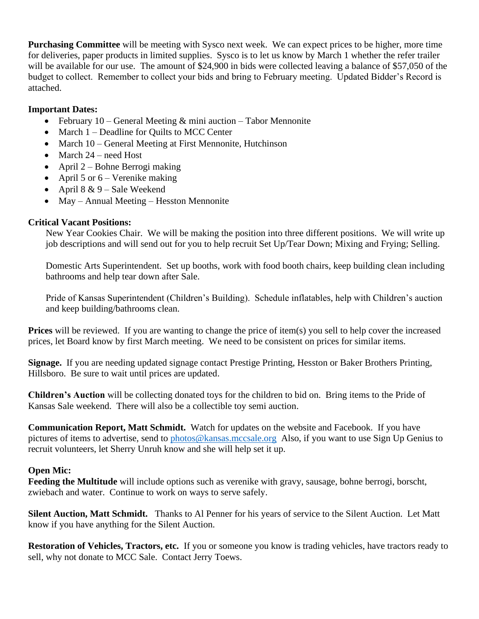**Purchasing Committee** will be meeting with Sysco next week. We can expect prices to be higher, more time for deliveries, paper products in limited supplies. Sysco is to let us know by March 1 whether the refer trailer will be available for our use. The amount of \$24,900 in bids were collected leaving a balance of \$57,050 of the budget to collect. Remember to collect your bids and bring to February meeting. Updated Bidder's Record is attached.

## **Important Dates:**

- February 10 General Meeting  $&$  mini auction Tabor Mennonite
- March 1 Deadline for Quilts to MCC Center
- March 10 General Meeting at First Mennonite, Hutchinson
- March 24 need Host
- April 2 Bohne Berrogi making
- April 5 or  $6 -$  Verenike making
- April  $8 \& 9 -$  Sale Weekend
- May Annual Meeting Hesston Mennonite

## **Critical Vacant Positions:**

New Year Cookies Chair. We will be making the position into three different positions. We will write up job descriptions and will send out for you to help recruit Set Up/Tear Down; Mixing and Frying; Selling.

Domestic Arts Superintendent. Set up booths, work with food booth chairs, keep building clean including bathrooms and help tear down after Sale.

Pride of Kansas Superintendent (Children's Building). Schedule inflatables, help with Children's auction and keep building/bathrooms clean.

**Prices** will be reviewed. If you are wanting to change the price of item(s) you sell to help cover the increased prices, let Board know by first March meeting. We need to be consistent on prices for similar items.

**Signage.** If you are needing updated signage contact Prestige Printing, Hesston or Baker Brothers Printing, Hillsboro. Be sure to wait until prices are updated.

**Children's Auction** will be collecting donated toys for the children to bid on. Bring items to the Pride of Kansas Sale weekend. There will also be a collectible toy semi auction.

**Communication Report, Matt Schmidt.** Watch for updates on the website and Facebook. If you have pictures of items to advertise, send to [photos@kansas.mccsale.org](mailto:photos@kansas.mccsale.org) Also, if you want to use Sign Up Genius to recruit volunteers, let Sherry Unruh know and she will help set it up.

## **Open Mic:**

**Feeding the Multitude** will include options such as verenike with gravy, sausage, bohne berrogi, borscht, zwiebach and water. Continue to work on ways to serve safely.

**Silent Auction, Matt Schmidt.** Thanks to Al Penner for his years of service to the Silent Auction. Let Matt know if you have anything for the Silent Auction.

**Restoration of Vehicles, Tractors, etc.** If you or someone you know is trading vehicles, have tractors ready to sell, why not donate to MCC Sale. Contact Jerry Toews.